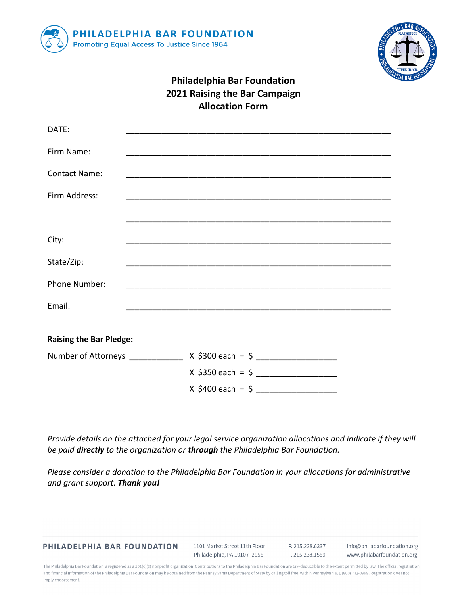



## **Philadelphia Bar Foundation 2021 Raising the Bar Campaign Allocation Form**

| DATE:                          |                                                                            |
|--------------------------------|----------------------------------------------------------------------------|
|                                |                                                                            |
| Firm Name:                     |                                                                            |
| <b>Contact Name:</b>           |                                                                            |
| Firm Address:                  |                                                                            |
|                                |                                                                            |
|                                | <u> 1989 - Johann John Stone, mensk politik (f. 1989)</u>                  |
| City:                          |                                                                            |
| State/Zip:                     |                                                                            |
| Phone Number:                  |                                                                            |
| Email:                         |                                                                            |
|                                |                                                                            |
| <b>Raising the Bar Pledge:</b> |                                                                            |
|                                | Number of Attorneys ________________ X \$300 each = \$ ___________________ |
|                                | $X$ \$350 each = \$                                                        |
|                                | $X$ \$400 each = \$                                                        |

*Provide details on the attached for your legal service organization allocations and indicate if they will be paid directly to the organization or through the Philadelphia Bar Foundation.*

*Please consider a donation to the Philadelphia Bar Foundation in your allocations for administrative and grant support. Thank you!*

PHILADELPHIA BAR FOUNDATION

1101 Market Street 11th Floor Philadelphia, PA 19107-2955

P. 215.238.6337 F. 215.238.1559

info@philabarfoundation.org www.philabarfoundation.org

The Philadelphia Bar Foundation is registered as a 501(c)(3) nonprofit organization. Contributions to the Philadelphia Bar Foundation are tax-deductible to the extent permitted by law. The official registration and financial information of the Philadelphia Bar Foundation may be obtained from the Pennsylvania Department of State by calling toll free, within Pennsylvania, 1 (800) 732-0999. Registration does not imply endorsement.